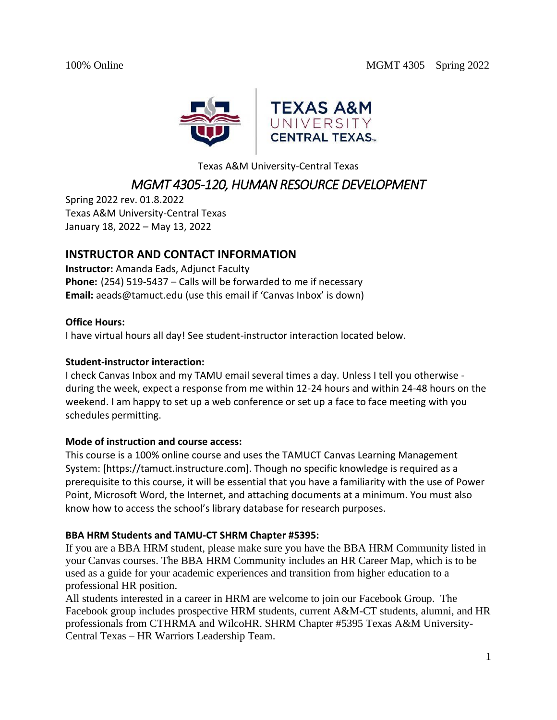

Texas A&M University-Central Texas

# *MGMT 4305-120, HUMAN RESOURCE DEVELOPMENT*

Spring 2022 rev. 01.8.2022 Texas A&M University-Central Texas January 18, 2022 – May 13, 2022

# **INSTRUCTOR AND CONTACT INFORMATION**

**Instructor:** Amanda Eads, Adjunct Faculty **Phone:** (254) 519-5437 – Calls will be forwarded to me if necessary **Email:** aeads@tamuct.edu (use this email if 'Canvas Inbox' is down)

### **Office Hours:**

I have virtual hours all day! See student-instructor interaction located below.

### **Student-instructor interaction:**

I check Canvas Inbox and my TAMU email several times a day. Unless I tell you otherwise during the week, expect a response from me within 12-24 hours and within 24-48 hours on the weekend. I am happy to set up a web conference or set up a face to face meeting with you schedules permitting.

### **Mode of instruction and course access:**

This course is a 100% online course and uses the TAMUCT Canvas Learning Management System: [https://tamuct.instructure.com]. Though no specific knowledge is required as a prerequisite to this course, it will be essential that you have a familiarity with the use of Power Point, Microsoft Word, the Internet, and attaching documents at a minimum. You must also know how to access the school's library database for research purposes.

# **BBA HRM Students and TAMU-CT SHRM Chapter #5395:**

If you are a BBA HRM student, please make sure you have the BBA HRM Community listed in your Canvas courses. The BBA HRM Community includes an HR Career Map, which is to be used as a guide for your academic experiences and transition from higher education to a professional HR position.

All students interested in a career in HRM are welcome to join our Facebook Group. The Facebook group includes prospective HRM students, current A&M-CT students, alumni, and HR professionals from CTHRMA and WilcoHR. SHRM Chapter #5395 Texas A&M University-Central Texas – HR Warriors Leadership Team.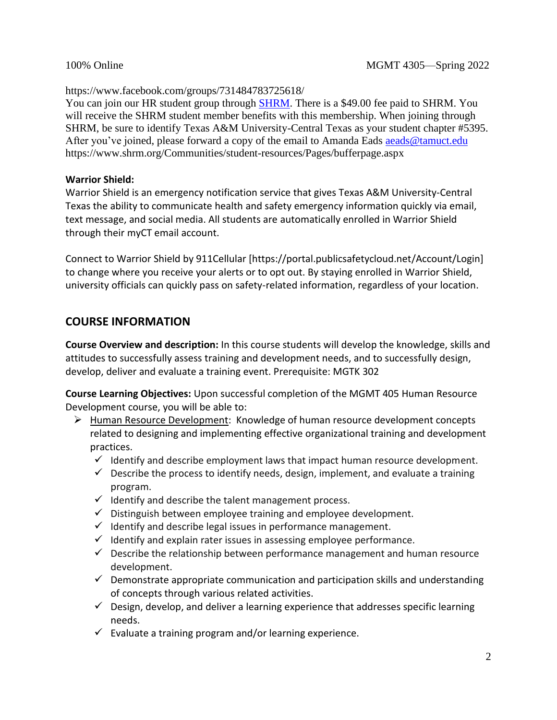https://www.facebook.com/groups/731484783725618/

You can join our HR student group through [SHRM.](https://www.shrm.org/Communities/student-resources/Pages/bufferpage.aspx) There is a \$49.00 fee paid to SHRM. You will receive the SHRM student member benefits with this membership. When joining through SHRM, be sure to identify Texas A&M University-Central Texas as your student chapter #5395. After you've joined, please forward a copy of the email to Amanda Eads [aeads@tamuct.edu](mailto:aeads@tamuct.edu) https://www.shrm.org/Communities/student-resources/Pages/bufferpage.aspx

### **Warrior Shield:**

Warrior Shield is an emergency notification service that gives Texas A&M University-Central Texas the ability to communicate health and safety emergency information quickly via email, text message, and social media. All students are automatically enrolled in Warrior Shield through their myCT email account.

Connect to Warrior Shield by 911Cellular [https://portal.publicsafetycloud.net/Account/Login] to change where you receive your alerts or to opt out. By staying enrolled in Warrior Shield, university officials can quickly pass on safety-related information, regardless of your location.

# **COURSE INFORMATION**

**Course Overview and description:** In this course students will develop the knowledge, skills and attitudes to successfully assess training and development needs, and to successfully design, develop, deliver and evaluate a training event. Prerequisite: MGTK 302

**Course Learning Objectives:** Upon successful completion of the MGMT 405 Human Resource Development course, you will be able to:

- ➢ Human Resource Development: Knowledge of human resource development concepts related to designing and implementing effective organizational training and development practices.
	- $\checkmark$  Identify and describe employment laws that impact human resource development.
	- $\checkmark$  Describe the process to identify needs, design, implement, and evaluate a training program.
	- $\checkmark$  Identify and describe the talent management process.
	- $\checkmark$  Distinguish between employee training and employee development.
	- $\checkmark$  Identify and describe legal issues in performance management.
	- $\checkmark$  Identify and explain rater issues in assessing employee performance.
	- $\checkmark$  Describe the relationship between performance management and human resource development.
	- $\checkmark$  Demonstrate appropriate communication and participation skills and understanding of concepts through various related activities.
	- $\checkmark$  Design, develop, and deliver a learning experience that addresses specific learning needs.
	- $\checkmark$  Evaluate a training program and/or learning experience.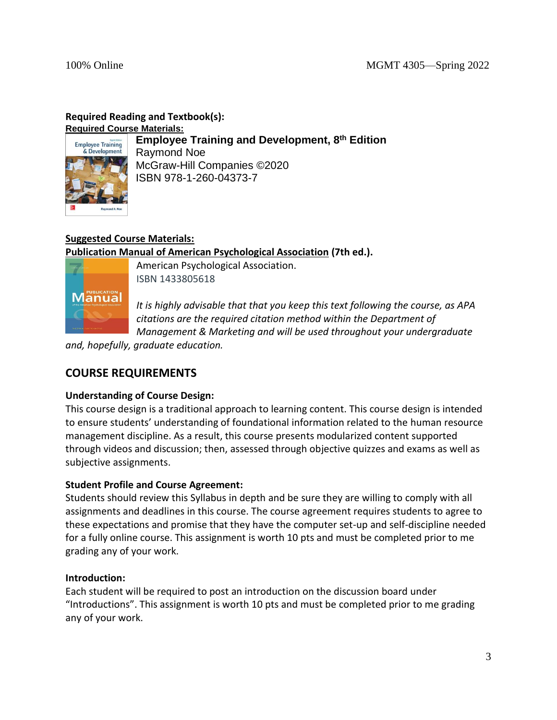# **Required Reading and Textbook(s):**

Employee Training<br>& Development

**Required Course Materials: Employee Training and Development, 8 th Edition** Raymond Noe McGraw-Hill Companies ©2020 ISBN 978-1-260-04373-7

# **Suggested Course Materials:**

**Publication Manual of American Psychological Association (7th ed.).** 



American Psychological Association. ISBN 1433805618

*It is highly advisable that that you keep this text following the course, as APA citations are the required citation method within the Department of Management & Marketing and will be used throughout your undergraduate* 

*and, hopefully, graduate education.*

# **COURSE REQUIREMENTS**

# **Understanding of Course Design:**

This course design is a traditional approach to learning content. This course design is intended to ensure students' understanding of foundational information related to the human resource management discipline. As a result, this course presents modularized content supported through videos and discussion; then, assessed through objective quizzes and exams as well as subjective assignments.

# **Student Profile and Course Agreement:**

Students should review this Syllabus in depth and be sure they are willing to comply with all assignments and deadlines in this course. The course agreement requires students to agree to these expectations and promise that they have the computer set-up and self-discipline needed for a fully online course. This assignment is worth 10 pts and must be completed prior to me grading any of your work.

# **Introduction:**

Each student will be required to post an introduction on the discussion board under "Introductions". This assignment is worth 10 pts and must be completed prior to me grading any of your work.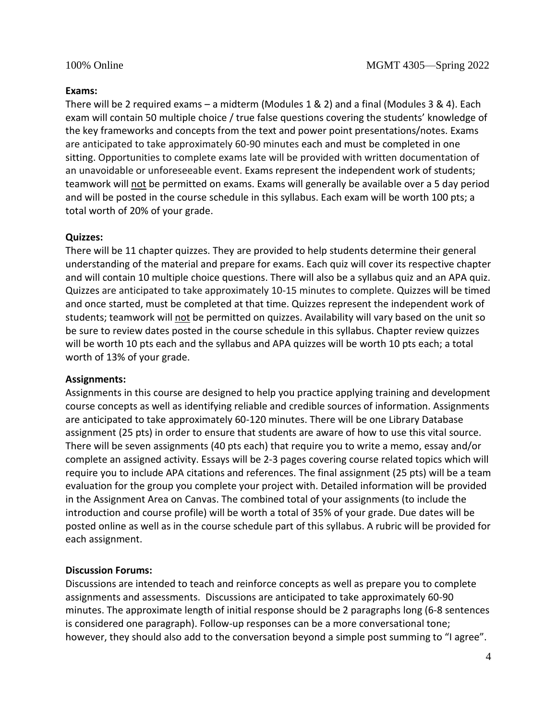#### **Exams:**

There will be 2 required exams – a midterm (Modules 1 & 2) and a final (Modules 3 & 4). Each exam will contain 50 multiple choice / true false questions covering the students' knowledge of the key frameworks and concepts from the text and power point presentations/notes. Exams are anticipated to take approximately 60-90 minutes each and must be completed in one sitting. Opportunities to complete exams late will be provided with written documentation of an unavoidable or unforeseeable event. Exams represent the independent work of students; teamwork will not be permitted on exams. Exams will generally be available over a 5 day period and will be posted in the course schedule in this syllabus. Each exam will be worth 100 pts; a total worth of 20% of your grade.

### **Quizzes:**

There will be 11 chapter quizzes. They are provided to help students determine their general understanding of the material and prepare for exams. Each quiz will cover its respective chapter and will contain 10 multiple choice questions. There will also be a syllabus quiz and an APA quiz. Quizzes are anticipated to take approximately 10-15 minutes to complete. Quizzes will be timed and once started, must be completed at that time. Quizzes represent the independent work of students; teamwork will not be permitted on quizzes. Availability will vary based on the unit so be sure to review dates posted in the course schedule in this syllabus. Chapter review quizzes will be worth 10 pts each and the syllabus and APA quizzes will be worth 10 pts each; a total worth of 13% of your grade.

#### **Assignments:**

Assignments in this course are designed to help you practice applying training and development course concepts as well as identifying reliable and credible sources of information. Assignments are anticipated to take approximately 60-120 minutes. There will be one Library Database assignment (25 pts) in order to ensure that students are aware of how to use this vital source. There will be seven assignments (40 pts each) that require you to write a memo, essay and/or complete an assigned activity. Essays will be 2-3 pages covering course related topics which will require you to include APA citations and references. The final assignment (25 pts) will be a team evaluation for the group you complete your project with. Detailed information will be provided in the Assignment Area on Canvas. The combined total of your assignments (to include the introduction and course profile) will be worth a total of 35% of your grade. Due dates will be posted online as well as in the course schedule part of this syllabus. A rubric will be provided for each assignment.

### **Discussion Forums:**

Discussions are intended to teach and reinforce concepts as well as prepare you to complete assignments and assessments. Discussions are anticipated to take approximately 60-90 minutes. The approximate length of initial response should be 2 paragraphs long (6-8 sentences is considered one paragraph). Follow-up responses can be a more conversational tone; however, they should also add to the conversation beyond a simple post summing to "I agree".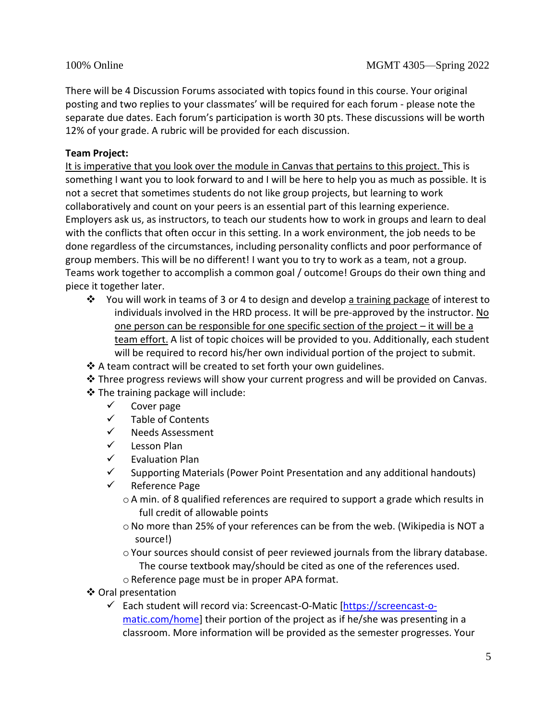There will be 4 Discussion Forums associated with topics found in this course. Your original posting and two replies to your classmates' will be required for each forum - please note the separate due dates. Each forum's participation is worth 30 pts. These discussions will be worth 12% of your grade. A rubric will be provided for each discussion.

# **Team Project:**

It is imperative that you look over the module in Canvas that pertains to this project. This is something I want you to look forward to and I will be here to help you as much as possible. It is not a secret that sometimes students do not like group projects, but learning to work collaboratively and count on your peers is an essential part of this learning experience. Employers ask us, as instructors, to teach our students how to work in groups and learn to deal with the conflicts that often occur in this setting. In a work environment, the job needs to be done regardless of the circumstances, including personality conflicts and poor performance of group members. This will be no different! I want you to try to work as a team, not a group. Teams work together to accomplish a common goal / outcome! Groups do their own thing and piece it together later.

- ❖ You will work in teams of 3 or 4 to design and develop a training package of interest to individuals involved in the HRD process. It will be pre-approved by the instructor. No one person can be responsible for one specific section of the project – it will be a team effort. A list of topic choices will be provided to you. Additionally, each student will be required to record his/her own individual portion of the project to submit.
- ❖ A team contract will be created to set forth your own guidelines.
- ❖ Three progress reviews will show your current progress and will be provided on Canvas.
- ❖ The training package will include:
	- ✓ Cover page
	- ✓ Table of Contents
	- ✓ Needs Assessment
	- ✓ Lesson Plan
	- ✓ Evaluation Plan
	- $\checkmark$  Supporting Materials (Power Point Presentation and any additional handouts)
	- ✓ Reference Page
		- oA min. of 8 qualified references are required to support a grade which results in full credit of allowable points
		- $\circ$  No more than 25% of your references can be from the web. (Wikipedia is NOT a source!)
		- $\circ$  Your sources should consist of peer reviewed journals from the library database. The course textbook may/should be cited as one of the references used.
		- oReference page must be in proper APA format.
- ❖ Oral presentation
	- ✓ Each student will record via: Screencast-O-Matic [\[https://screencast-o](https://screencast-o-matic.com/home)[matic.com/home\]](https://screencast-o-matic.com/home) their portion of the project as if he/she was presenting in a classroom. More information will be provided as the semester progresses. Your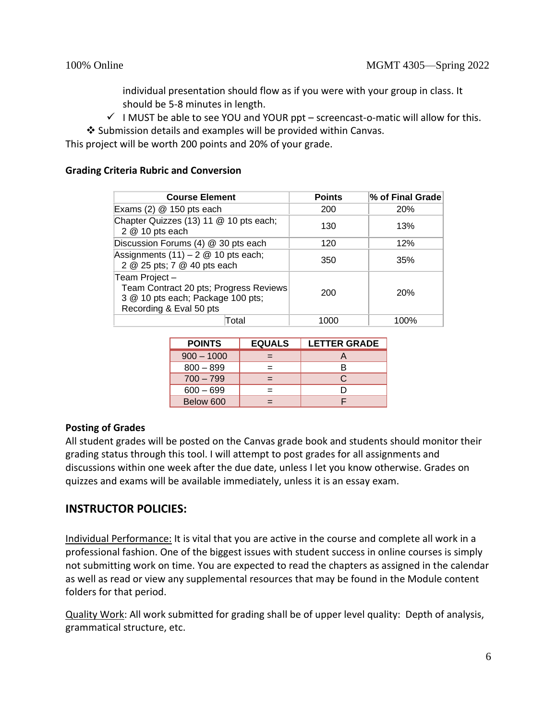individual presentation should flow as if you were with your group in class. It should be 5-8 minutes in length.

 $\checkmark$  I MUST be able to see YOU and YOUR ppt – screencast-o-matic will allow for this.

❖ Submission details and examples will be provided within Canvas.

This project will be worth 200 points and 20% of your grade.

### **Grading Criteria Rubric and Conversion**

| <b>Course Element</b>                                                                                                   | <b>Points</b> | % of Final Grade |
|-------------------------------------------------------------------------------------------------------------------------|---------------|------------------|
| Exams $(2)$ @ 150 pts each                                                                                              | 200           | <b>20%</b>       |
| Chapter Quizzes (13) 11 @ 10 pts each;<br>2 @ 10 pts each                                                               | 130           | 13%              |
| Discussion Forums (4) @ 30 pts each                                                                                     | 120           | 12%              |
| Assignments $(11) - 2 \& 10$ pts each;<br>2 @ 25 pts; 7 @ 40 pts each                                                   | 350           | 35%              |
| Team Project-<br>Team Contract 20 pts; Progress Reviews<br>3 @ 10 pts each; Package 100 pts;<br>Recording & Eval 50 pts | 200           | 20%              |
| Total                                                                                                                   | 1000          | 100%             |

| <b>POINTS</b> | <b>EQUALS</b> | <b>LETTER GRADE</b> |
|---------------|---------------|---------------------|
| $900 - 1000$  |               |                     |
| $800 - 899$   |               |                     |
| $700 - 799$   |               | C                   |
| $600 - 699$   |               |                     |
| Below 600     |               |                     |

### **Posting of Grades**

All student grades will be posted on the Canvas grade book and students should monitor their grading status through this tool. I will attempt to post grades for all assignments and discussions within one week after the due date, unless I let you know otherwise. Grades on quizzes and exams will be available immediately, unless it is an essay exam.

# **INSTRUCTOR POLICIES:**

Individual Performance: It is vital that you are active in the course and complete all work in a professional fashion. One of the biggest issues with student success in online courses is simply not submitting work on time. You are expected to read the chapters as assigned in the calendar as well as read or view any supplemental resources that may be found in the Module content folders for that period.

Quality Work: All work submitted for grading shall be of upper level quality: Depth of analysis, grammatical structure, etc.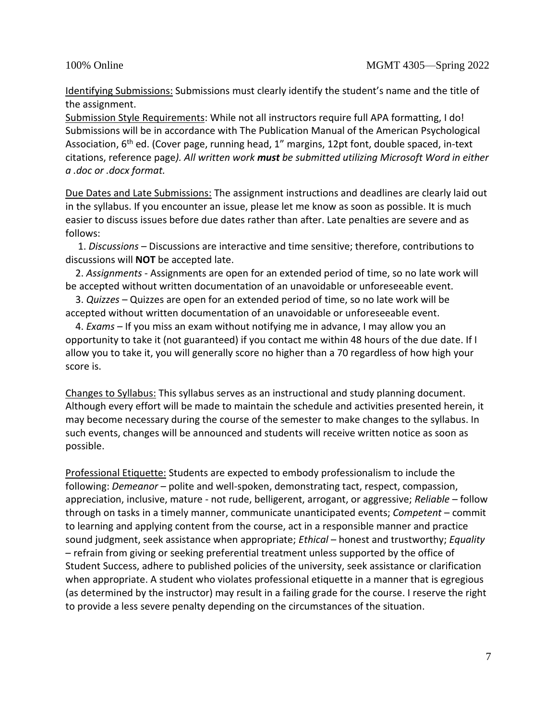Identifying Submissions: Submissions must clearly identify the student's name and the title of the assignment.

Submission Style Requirements: While not all instructors require full APA formatting, I do! Submissions will be in accordance with The Publication Manual of the American Psychological Association, 6<sup>th</sup> ed. (Cover page, running head, 1" margins, 12pt font, double spaced, in-text citations, reference page*). All written work must be submitted utilizing Microsoft Word in either a .doc or .docx format.* 

Due Dates and Late Submissions: The assignment instructions and deadlines are clearly laid out in the syllabus. If you encounter an issue, please let me know as soon as possible. It is much easier to discuss issues before due dates rather than after. Late penalties are severe and as follows:

 1. *Discussions* – Discussions are interactive and time sensitive; therefore, contributions to discussions will **NOT** be accepted late.

 2. *Assignments -* Assignments are open for an extended period of time, so no late work will be accepted without written documentation of an unavoidable or unforeseeable event.

 3. *Quizzes* – Quizzes are open for an extended period of time, so no late work will be accepted without written documentation of an unavoidable or unforeseeable event.

 4. *Exams* – If you miss an exam without notifying me in advance, I may allow you an opportunity to take it (not guaranteed) if you contact me within 48 hours of the due date. If I allow you to take it, you will generally score no higher than a 70 regardless of how high your score is.

Changes to Syllabus: This syllabus serves as an instructional and study planning document. Although every effort will be made to maintain the schedule and activities presented herein, it may become necessary during the course of the semester to make changes to the syllabus. In such events, changes will be announced and students will receive written notice as soon as possible.

Professional Etiquette: Students are expected to embody professionalism to include the following: *Demeanor* – polite and well-spoken, demonstrating tact, respect, compassion, appreciation, inclusive, mature - not rude, belligerent, arrogant, or aggressive; *Reliable* – follow through on tasks in a timely manner, communicate unanticipated events; *Competent* – commit to learning and applying content from the course, act in a responsible manner and practice sound judgment, seek assistance when appropriate; *Ethical* – honest and trustworthy; *Equality*  – refrain from giving or seeking preferential treatment unless supported by the office of Student Success, adhere to published policies of the university, seek assistance or clarification when appropriate. A student who violates professional etiquette in a manner that is egregious (as determined by the instructor) may result in a failing grade for the course. I reserve the right to provide a less severe penalty depending on the circumstances of the situation.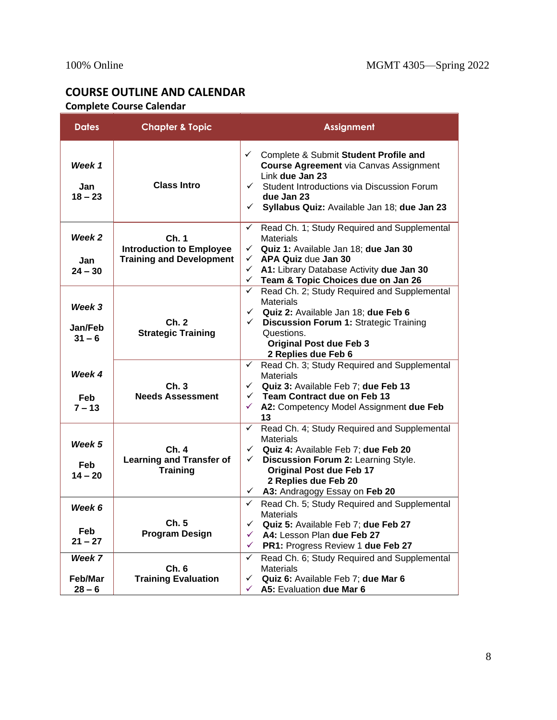# **COURSE OUTLINE AND CALENDAR Complete Course Calendar**

| <b>Dates</b>                     | <b>Chapter &amp; Topic</b>                                                  | <b>Assignment</b>                                                                                                                                                                                                                                                                        |
|----------------------------------|-----------------------------------------------------------------------------|------------------------------------------------------------------------------------------------------------------------------------------------------------------------------------------------------------------------------------------------------------------------------------------|
| Week 1<br>Jan<br>$18 - 23$       | <b>Class Intro</b>                                                          | ← Complete & Submit Student Profile and<br><b>Course Agreement via Canvas Assignment</b><br>Link due Jan 23<br>Student Introductions via Discussion Forum<br>$\checkmark$<br>due Jan 23<br>Syllabus Quiz: Available Jan 18; due Jan 23<br>$\checkmark$                                   |
| Week 2<br>Jan<br>$24 - 30$       | Ch. 1<br><b>Introduction to Employee</b><br><b>Training and Development</b> | Read Ch. 1; Study Required and Supplemental<br>✓<br><b>Materials</b><br>$\checkmark$ Quiz 1: Available Jan 18; due Jan 30<br>$\checkmark$ APA Quiz due Jan 30<br>$\checkmark$<br>A1: Library Database Activity due Jan 30<br>Team & Topic Choices due on Jan 26<br>$\checkmark$          |
| Week 3<br>Jan/Feb<br>$31 - 6$    | Ch.2<br><b>Strategic Training</b>                                           | Read Ch. 2; Study Required and Supplemental<br>$\checkmark$<br><b>Materials</b><br>$\checkmark$ Quiz 2: Available Jan 18; due Feb 6<br>Discussion Forum 1: Strategic Training<br>$\checkmark$<br>Questions.<br><b>Original Post due Feb 3</b><br>2 Replies due Feb 6                     |
| Week 4<br><b>Feb</b><br>$7 - 13$ | Ch.3<br><b>Needs Assessment</b>                                             | Read Ch. 3; Study Required and Supplemental<br>✓<br><b>Materials</b><br>Quiz 3: Available Feb 7; due Feb 13<br>$\checkmark$<br>$\checkmark$ Team Contract due on Feb 13<br>$\checkmark$ A2: Competency Model Assignment due Feb<br>13                                                    |
| Week 5<br>Feb.<br>$14 - 20$      | Ch. 4<br><b>Learning and Transfer of</b><br><b>Training</b>                 | Read Ch. 4; Study Required and Supplemental<br>$\checkmark$<br><b>Materials</b><br>$\checkmark$ Quiz 4: Available Feb 7; due Feb 20<br>Discussion Forum 2: Learning Style.<br>$\checkmark$<br><b>Original Post due Feb 17</b><br>2 Replies due Feb 20<br>← A3: Andragogy Essay on Feb 20 |
| Week 6<br>Feb<br>$21 - 27$       | Ch. 5<br><b>Program Design</b>                                              | $\checkmark$ Read Ch. 5; Study Required and Supplemental<br><b>Materials</b><br>$\checkmark$ Quiz 5: Available Feb 7; due Feb 27<br>A4: Lesson Plan due Feb 27<br>✓<br>PR1: Progress Review 1 due Feb 27<br>✓                                                                            |
| Week 7<br>Feb/Mar<br>$28 - 6$    | Ch.6<br><b>Training Evaluation</b>                                          | Read Ch. 6; Study Required and Supplemental<br>✓<br><b>Materials</b><br>Quiz 6: Available Feb 7; due Mar 6<br>✓<br>A5: Evaluation due Mar 6<br>✓                                                                                                                                         |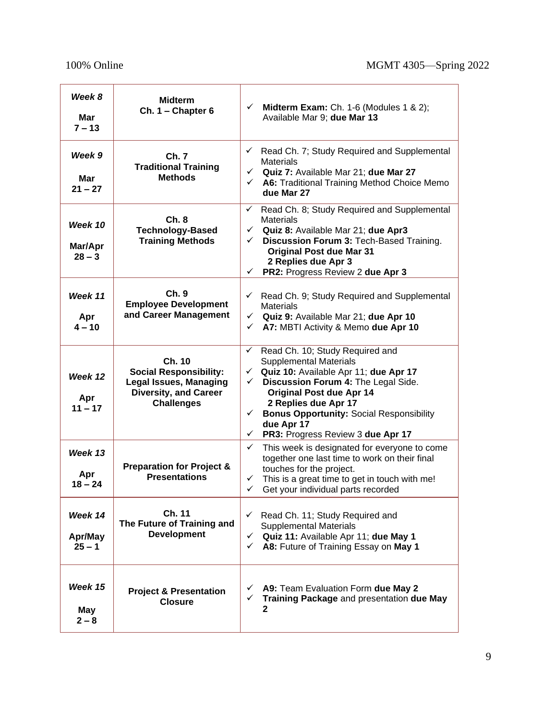r

÷

| Week 8<br>Mar<br>$7 - 13$      | Midterm<br>$Ch. 1 - Chapter 6$                                                                                                | $\checkmark$<br>Midterm Exam: Ch. 1-6 (Modules 1 & 2);<br>Available Mar 9; due Mar 13                                                                                                                                                                                                                                                                                    |
|--------------------------------|-------------------------------------------------------------------------------------------------------------------------------|--------------------------------------------------------------------------------------------------------------------------------------------------------------------------------------------------------------------------------------------------------------------------------------------------------------------------------------------------------------------------|
| Week 9<br>Mar<br>$21 - 27$     | Ch. 7<br><b>Traditional Training</b><br><b>Methods</b>                                                                        | Read Ch. 7; Study Required and Supplemental<br>✓<br><b>Materials</b><br>$\checkmark$ Quiz 7: Available Mar 21; due Mar 27<br>A6: Traditional Training Method Choice Memo<br>$\checkmark$<br>due Mar 27                                                                                                                                                                   |
| Week 10<br>Mar/Apr<br>$28 - 3$ | Ch.8<br><b>Technology-Based</b><br><b>Training Methods</b>                                                                    | Read Ch. 8; Study Required and Supplemental<br>$\checkmark$<br><b>Materials</b><br>$\checkmark$ Quiz 8: Available Mar 21; due Apr3<br>Discussion Forum 3: Tech-Based Training.<br>$\checkmark$<br><b>Original Post due Mar 31</b><br>2 Replies due Apr 3<br>PR2: Progress Review 2 due Apr 3<br>✓                                                                        |
| Week 11<br>Apr<br>$4 - 10$     | Ch.9<br><b>Employee Development</b><br>and Career Management                                                                  | $\checkmark$ Read Ch. 9; Study Required and Supplemental<br><b>Materials</b><br>$\checkmark$ Quiz 9: Available Mar 21; due Apr 10<br>A7: MBTI Activity & Memo due Apr 10<br>$\checkmark$                                                                                                                                                                                 |
| Week 12<br>Apr<br>$11 - 17$    | Ch. 10<br><b>Social Responsibility:</b><br><b>Legal Issues, Managing</b><br><b>Diversity, and Career</b><br><b>Challenges</b> | Read Ch. 10; Study Required and<br>✓<br><b>Supplemental Materials</b><br>← Quiz 10: Available Apr 11; due Apr 17<br>Discussion Forum 4: The Legal Side.<br>$\checkmark$<br><b>Original Post due Apr 14</b><br>2 Replies due Apr 17<br><b>Bonus Opportunity: Social Responsibility</b><br>$\checkmark$<br>due Apr 17<br>PR3: Progress Review 3 due Apr 17<br>$\checkmark$ |
| Week 13<br>Apr<br>$18 - 24$    | <b>Preparation for Project &amp;</b><br><b>Presentations</b>                                                                  | $\checkmark$<br>This week is designated for everyone to come<br>together one last time to work on their final<br>touches for the project.<br>This is a great time to get in touch with me!<br>$\checkmark$<br>Get your individual parts recorded<br>✓                                                                                                                    |
| Week 14<br>Apr/May<br>$25 - 1$ | Ch. 11<br>The Future of Training and<br><b>Development</b>                                                                    | Read Ch. 11; Study Required and<br>$\checkmark$<br><b>Supplemental Materials</b><br>← Quiz 11: Available Apr 11; due May 1<br>A8: Future of Training Essay on May 1<br>$\checkmark$                                                                                                                                                                                      |
| Week 15<br>May<br>$2 - 8$      | <b>Project &amp; Presentation</b><br><b>Closure</b>                                                                           | $\checkmark$ A9: Team Evaluation Form due May 2<br>Training Package and presentation due May<br>$\checkmark$<br>2                                                                                                                                                                                                                                                        |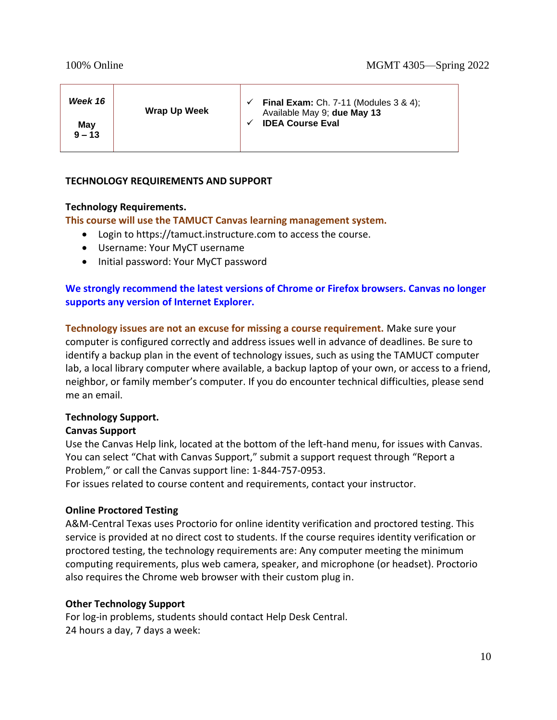| Week 16         | <b>Wrap Up Week</b> | <b>Final Exam:</b> Ch. 7-11 (Modules 3 & 4);<br>Available May 9; due May 13 |
|-----------------|---------------------|-----------------------------------------------------------------------------|
| May<br>$9 - 13$ |                     | <b>IDEA Course Eval</b>                                                     |

# **TECHNOLOGY REQUIREMENTS AND SUPPORT**

# **Technology Requirements.**

**This course will use the TAMUCT Canvas learning management system.**

- Login to https://tamuct.instructure.com to access the course.
- Username: Your MyCT username
- Initial password: Your MyCT password

# **We strongly recommend the latest versions of Chrome or Firefox browsers. Canvas no longer supports any version of Internet Explorer.**

**Technology issues are not an excuse for missing a course requirement.** Make sure your computer is configured correctly and address issues well in advance of deadlines. Be sure to identify a backup plan in the event of technology issues, such as using the TAMUCT computer lab, a local library computer where available, a backup laptop of your own, or access to a friend, neighbor, or family member's computer. If you do encounter technical difficulties, please send me an email.

### **Technology Support.**

# **Canvas Support**

Use the Canvas Help link, located at the bottom of the left-hand menu, for issues with Canvas. You can select "Chat with Canvas Support," submit a support request through "Report a Problem," or call the Canvas support line: 1-844-757-0953.

For issues related to course content and requirements, contact your instructor.

# **Online Proctored Testing**

A&M-Central Texas uses Proctorio for online identity verification and proctored testing. This service is provided at no direct cost to students. If the course requires identity verification or proctored testing, the technology requirements are: Any computer meeting the minimum computing requirements, plus web camera, speaker, and microphone (or headset). Proctorio also requires the Chrome web browser with their custom plug in.

### **Other Technology Support**

For log-in problems, students should contact Help Desk Central. 24 hours a day, 7 days a week: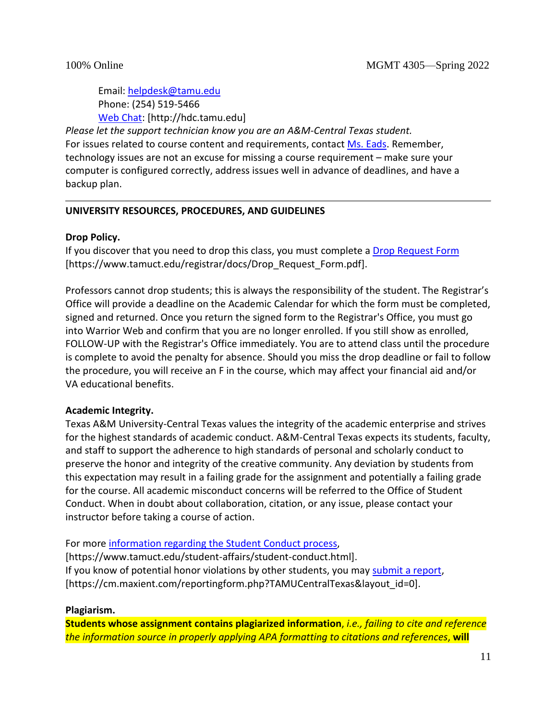Email: [helpdesk@tamu.edu](mailto:helpdesk@tamu.edu) Phone: (254) 519-5466 [Web Chat:](http://hdc.tamu.edu/) [http://hdc.tamu.edu]

*Please let the support technician know you are an A&M-Central Texas student.* For issues related to course content and requirements, contac[t Ms.](mailto:becca.mcpherson@tamuct.edu) Eads. Remember, technology issues are not an excuse for missing a course requirement – make sure your computer is configured correctly, address issues well in advance of deadlines, and have a backup plan.

# **UNIVERSITY RESOURCES, PROCEDURES, AND GUIDELINES**

### **Drop Policy.**

If you discover that you need to drop this class, you must complete a [Drop Request](https://www.tamuct.edu/registrar/docs/Drop_Request_Form.pdf) Form [https://www.tamuct.edu/registrar/docs/Drop\_Request\_Form.pdf].

Professors cannot drop students; this is always the responsibility of the student. The Registrar's Office will provide a deadline on the Academic Calendar for which the form must be completed, signed and returned. Once you return the signed form to the Registrar's Office, you must go into Warrior Web and confirm that you are no longer enrolled. If you still show as enrolled, FOLLOW-UP with the Registrar's Office immediately. You are to attend class until the procedure is complete to avoid the penalty for absence. Should you miss the drop deadline or fail to follow the procedure, you will receive an F in the course, which may affect your financial aid and/or VA educational benefits.

# **Academic Integrity.**

Texas A&M University-Central Texas values the integrity of the academic enterprise and strives for the highest standards of academic conduct. A&M-Central Texas expects its students, faculty, and staff to support the adherence to high standards of personal and scholarly conduct to preserve the honor and integrity of the creative community. Any deviation by students from this expectation may result in a failing grade for the assignment and potentially a failing grade for the course. All academic misconduct concerns will be referred to the Office of Student Conduct. When in doubt about collaboration, citation, or any issue, please contact your instructor before taking a course of action.

For more [information regarding the Student Conduct process,](https://www.tamuct.edu/student-affairs/student-conduct.html)

[https://www.tamuct.edu/student-affairs/student-conduct.html]. If you know of potential honor violations by other students, you may [submit a report,](https://cm.maxient.com/reportingform.php?TAMUCentralTexas&layout_id=0) [https://cm.maxient.com/reportingform.php?TAMUCentralTexas&layout\_id=0].

### **Plagiarism.**

**Students whose assignment contains plagiarized information**, *i.e., failing to cite and reference the information source in properly applying APA formatting to citations and references*, **will**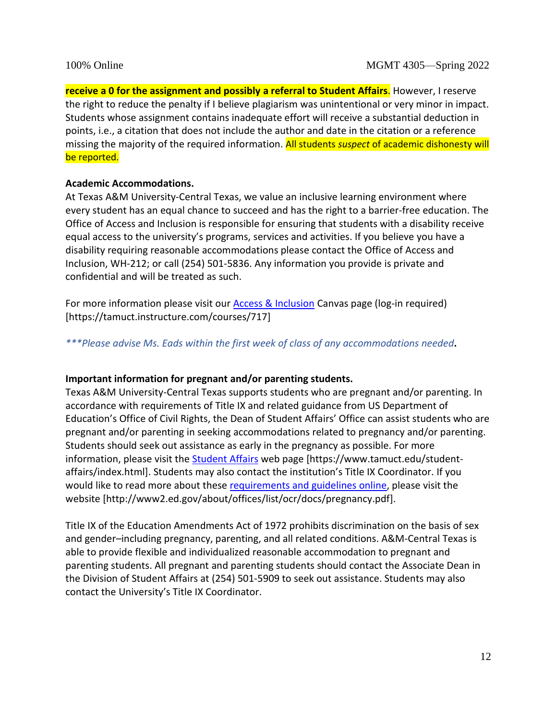**receive a 0 for the assignment and possibly a referral to Student Affairs**. However, I reserve the right to reduce the penalty if I believe plagiarism was unintentional or very minor in impact. Students whose assignment contains inadequate effort will receive a substantial deduction in points, i.e., a citation that does not include the author and date in the citation or a reference missing the majority of the required information. All students *suspect* of academic dishonesty will be reported.

### **Academic Accommodations.**

At Texas A&M University-Central Texas, we value an inclusive learning environment where every student has an equal chance to succeed and has the right to a barrier-free education. The Office of Access and Inclusion is responsible for ensuring that students with a disability receive equal access to the university's programs, services and activities. If you believe you have a disability requiring reasonable accommodations please contact the Office of Access and Inclusion, WH-212; or call (254) 501-5836. Any information you provide is private and confidential and will be treated as such.

For more information please visit our **Access & Inclusion Canvas page (log-in required)** [https://tamuct.instructure.com/courses/717]

*\*\*\*Please advise Ms. Eads within the first week of class of any accommodations needed***.**

### **Important information for pregnant and/or parenting students.**

Texas A&M University-Central Texas supports students who are pregnant and/or parenting. In accordance with requirements of Title IX and related guidance from US Department of Education's Office of Civil Rights, the Dean of Student Affairs' Office can assist students who are pregnant and/or parenting in seeking accommodations related to pregnancy and/or parenting. Students should seek out assistance as early in the pregnancy as possible. For more information, please visit the **Student Affairs** web page [https://www.tamuct.edu/studentaffairs/index.html]. Students may also contact the institution's Title IX Coordinator. If you would like to read more about these [requirements and guidelines](http://www2.ed.gov/about/offices/list/ocr/docs/pregnancy.pdf) online, please visit the website [http://www2.ed.gov/about/offices/list/ocr/docs/pregnancy.pdf].

Title IX of the Education Amendments Act of 1972 prohibits discrimination on the basis of sex and gender–including pregnancy, parenting, and all related conditions. A&M-Central Texas is able to provide flexible and individualized reasonable accommodation to pregnant and parenting students. All pregnant and parenting students should contact the Associate Dean in the Division of Student Affairs at (254) 501-5909 to seek out assistance. Students may also contact the University's Title IX Coordinator.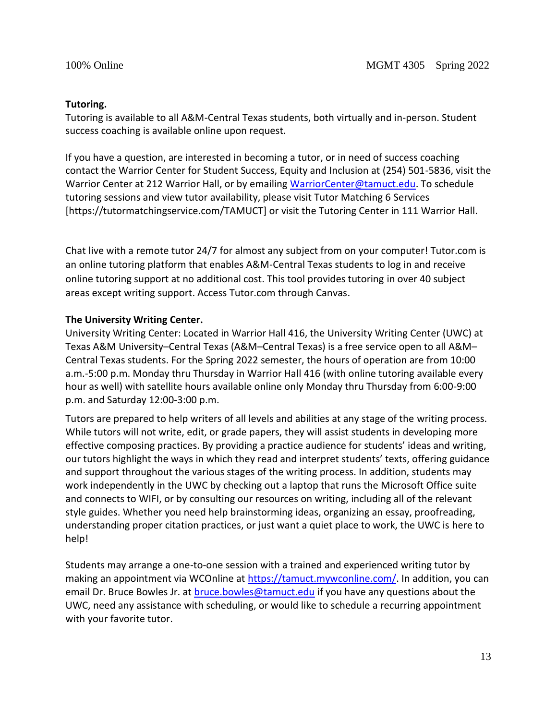### **Tutoring.**

Tutoring is available to all A&M-Central Texas students, both virtually and in-person. Student success coaching is available online upon request.

If you have a question, are interested in becoming a tutor, or in need of success coaching contact the Warrior Center for Student Success, Equity and Inclusion at (254) 501-5836, visit the Warrior Center at 212 Warrior Hall, or by emailing [WarriorCenter@tamuct.edu.](mailto:WarriorCenter@tamuct.edu) To schedule tutoring sessions and view tutor availability, please visit Tutor Matching 6 Services [https://tutormatchingservice.com/TAMUCT] or visit the Tutoring Center in 111 Warrior Hall.

Chat live with a remote tutor 24/7 for almost any subject from on your computer! Tutor.com is an online tutoring platform that enables A&M-Central Texas students to log in and receive online tutoring support at no additional cost. This tool provides tutoring in over 40 subject areas except writing support. Access Tutor.com through Canvas.

# **The University Writing Center.**

University Writing Center: Located in Warrior Hall 416, the University Writing Center (UWC) at Texas A&M University–Central Texas (A&M–Central Texas) is a free service open to all A&M– Central Texas students. For the Spring 2022 semester, the hours of operation are from 10:00 a.m.-5:00 p.m. Monday thru Thursday in Warrior Hall 416 (with online tutoring available every hour as well) with satellite hours available online only Monday thru Thursday from 6:00-9:00 p.m. and Saturday 12:00-3:00 p.m.

Tutors are prepared to help writers of all levels and abilities at any stage of the writing process. While tutors will not write, edit, or grade papers, they will assist students in developing more effective composing practices. By providing a practice audience for students' ideas and writing, our tutors highlight the ways in which they read and interpret students' texts, offering guidance and support throughout the various stages of the writing process. In addition, students may work independently in the UWC by checking out a laptop that runs the Microsoft Office suite and connects to WIFI, or by consulting our resources on writing, including all of the relevant style guides. Whether you need help brainstorming ideas, organizing an essay, proofreading, understanding proper citation practices, or just want a quiet place to work, the UWC is here to help!

Students may arrange a one-to-one session with a trained and experienced writing tutor by making an appointment via WCOnline at [https://tamuct.mywconline.com/.](https://tamuct.mywconline.com/) In addition, you can email Dr. Bruce Bowles Jr. at [bruce.bowles@tamuct.edu](mailto:bruce.bowles@tamuct.edu) if you have any questions about the UWC, need any assistance with scheduling, or would like to schedule a recurring appointment with your favorite tutor.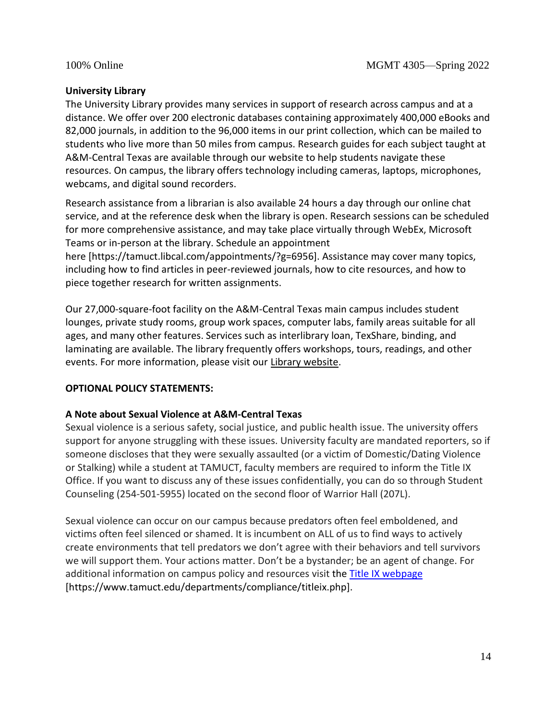### **University Library**

The University Library provides many services in support of research across campus and at a distance. We offer over 200 electronic databases containing approximately 400,000 eBooks and 82,000 journals, in addition to the 96,000 items in our print collection, which can be mailed to students who live more than 50 miles from campus. Research guides for each subject taught at A&M-Central Texas are available through our website to help students navigate these resources. On campus, the library offers technology including cameras, laptops, microphones, webcams, and digital sound recorders.

Research assistance from a librarian is also available 24 hours a day through our online chat service, and at the reference desk when the library is open. Research sessions can be scheduled for more comprehensive assistance, and may take place virtually through WebEx, Microsoft Teams or in-person at the library. Schedule an appointment

here [https://tamuct.libcal.com/appointments/?g=6956]. Assistance may cover many topics, including how to find articles in peer-reviewed journals, how to cite resources, and how to piece together research for written assignments.

Our 27,000-square-foot facility on the A&M-Central Texas main campus includes student lounges, private study rooms, group work spaces, computer labs, family areas suitable for all ages, and many other features. Services such as interlibrary loan, TexShare, binding, and laminating are available. The library frequently offers workshops, tours, readings, and other events. For more information, please visit our [Library website.](http://tamuct.libguides.com/index)

# **OPTIONAL POLICY STATEMENTS:**

# **A Note about Sexual Violence at A&M-Central Texas**

Sexual violence is a serious safety, social justice, and public health issue. The university offers support for anyone struggling with these issues. University faculty are mandated reporters, so if someone discloses that they were sexually assaulted (or a victim of Domestic/Dating Violence or Stalking) while a student at TAMUCT, faculty members are required to inform the Title IX Office. If you want to discuss any of these issues confidentially, you can do so through Student Counseling (254-501-5955) located on the second floor of Warrior Hall (207L).

Sexual violence can occur on our campus because predators often feel emboldened, and victims often feel silenced or shamed. It is incumbent on ALL of us to find ways to actively create environments that tell predators we don't agree with their behaviors and tell survivors we will support them. Your actions matter. Don't be a bystander; be an agent of change. For additional information on campus policy and resources visit the **Title IX webpage** [https://www.tamuct.edu/departments/compliance/titleix.php].